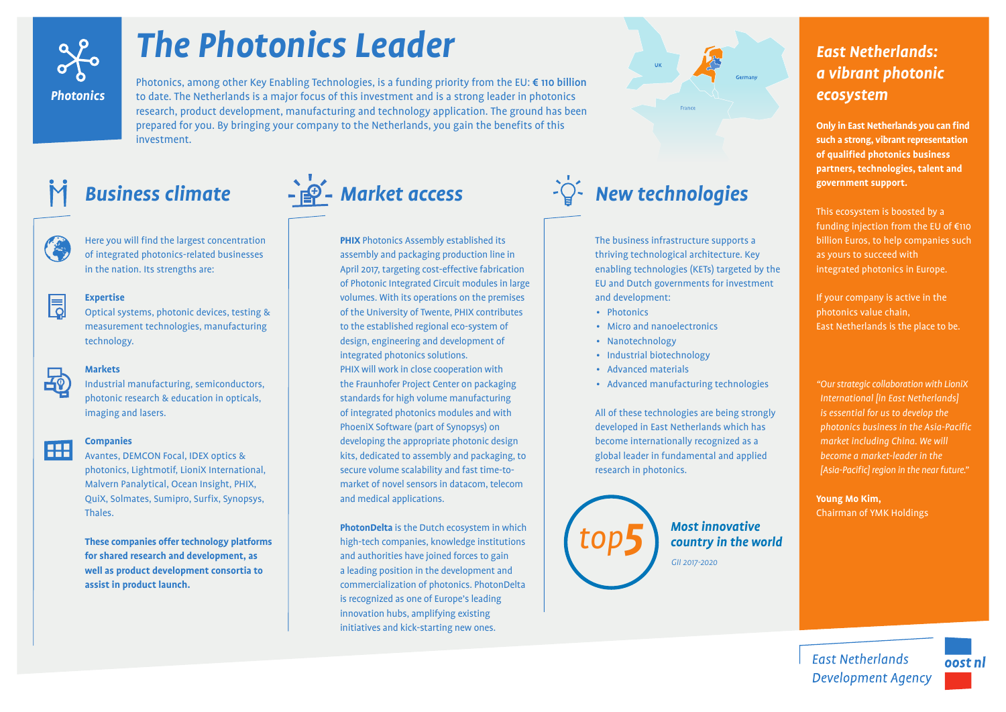

# *The Photonics Leader*

Photonics, among other Key Enabling Technologies, is a funding priority from the EU: € 110 billion to date. The Netherlands is a major focus of this investment and is a strong leader in photonics research, product development, manufacturing and technology application. The ground has been prepared for you. By bringing your company to the Netherlands, you gain the benefits of this investment.



Here you will find the largest concentration of integrated photonics-related businesses in the nation. Its strengths are:

## 同 **Expertise**

Optical systems, photonic devices, testing & measurement technologies, manufacturing technology.



### **Markets**

Industrial manufacturing, semiconductors, photonic research & education in opticals, imaging and lasers.



# **A** *A*<sup>ntal</sup> *Companies*

Avantes, DEMCON Focal, IDEX optics & photonics, Lightmotif, LioniX International, Malvern Panalytical, Ocean Insight, PHIX, QuiX, Solmates, Sumipro, Surfix, Synopsys, Thales.

**These companies offer technology platforms for shared research and development, as well as product development consortia to assist in product launch.**



**PHIX** Photonics Assembly established its assembly and packaging production line in April 2017, targeting cost-effective fabrication of Photonic Integrated Circuit modules in large volumes. With its operations on the premises of the University of Twente, PHIX contributes to the established regional eco-system of design, engineering and development of integrated photonics solutions. PHIX will work in close cooperation with the Fraunhofer Project Center on packaging standards for high volume manufacturing of integrated photonics modules and with PhoeniX Software (part of Synopsys) on developing the appropriate photonic design kits, dedicated to assembly and packaging, to secure volume scalability and fast time-tomarket of novel sensors in datacom, telecom and medical applications.

**PhotonDelta** is the Dutch ecosystem in which high-tech companies, knowledge institutions and authorities have joined forces to gain a leading position in the development and commercialization of photonics. PhotonDelta is recognized as one of Europe's leading innovation hubs, amplifying existing initiatives and kick-starting new ones.



The business infrastructure supports a thriving technological architecture. Key enabling technologies (KETs) targeted by the EU and Dutch governments for investment and development:

• Photonics

*top5*

- Micro and nanoelectronics
- Nanotechnology
- Industrial biotechnology
- Advanced materials
- Advanced manufacturing technologies

All of these technologies are being strongly developed in East Netherlands which has become internationally recognized as a global leader in fundamental and applied research in photonics.

> *Most innovative country in the world GII 2017-2020*

# *East Netherlands: a vibrant photonic ecosystem*

**Only in East Netherlands you can find such a strong, vibrant representation of qualified photonics business partners, technologies, talent and government support.**

This ecosystem is boosted by a funding injection from the EU of €110 billion Euros, to help companies such as yours to succeed with integrated photonics in Europe.

If your company is active in the photonics value chain, East Netherlands is the place to be.

*"Our strategic collaboration with LioniX International [in East Netherlands] is essential for us to develop the photonics business in the Asia-Pacific market including China. We will become a market-leader in the [Asia-Pacific] region in the near future."* 

**Young Mo Kim,**  Chairman of YMK Holdings

**East Netherlands**